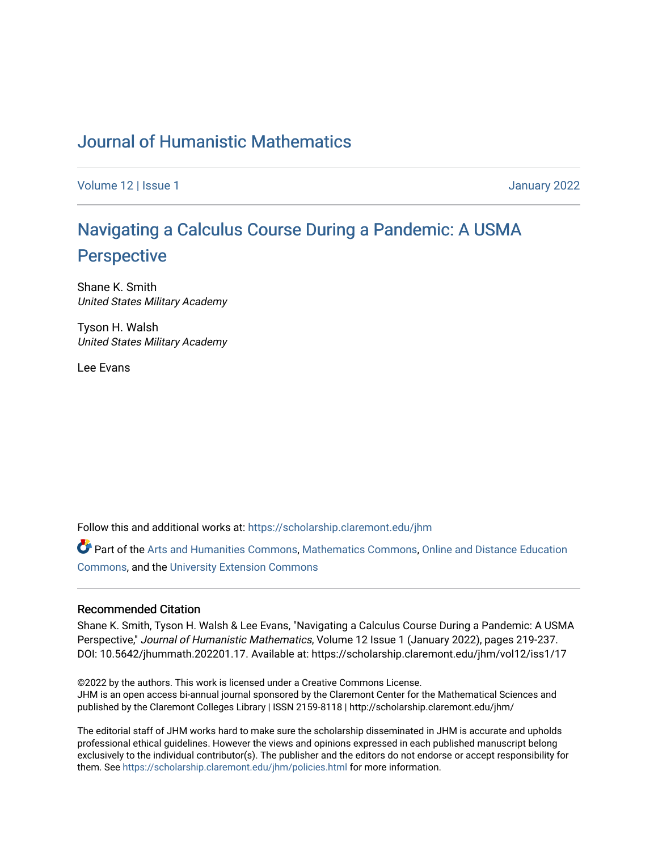## [Journal of Humanistic Mathematics](https://scholarship.claremont.edu/jhm)

[Volume 12](https://scholarship.claremont.edu/jhm/vol12) | Issue 1 January 2022

# [Navigating a Calculus Course During a Pandemic: A USMA](https://scholarship.claremont.edu/jhm/vol12/iss1/17) **[Perspective](https://scholarship.claremont.edu/jhm/vol12/iss1/17)**

Shane K. Smith United States Military Academy

Tyson H. Walsh United States Military Academy

Lee Evans

Follow this and additional works at: [https://scholarship.claremont.edu/jhm](https://scholarship.claremont.edu/jhm?utm_source=scholarship.claremont.edu%2Fjhm%2Fvol12%2Fiss1%2F17&utm_medium=PDF&utm_campaign=PDFCoverPages)

Part of the [Arts and Humanities Commons,](http://network.bepress.com/hgg/discipline/438?utm_source=scholarship.claremont.edu%2Fjhm%2Fvol12%2Fiss1%2F17&utm_medium=PDF&utm_campaign=PDFCoverPages) [Mathematics Commons](http://network.bepress.com/hgg/discipline/174?utm_source=scholarship.claremont.edu%2Fjhm%2Fvol12%2Fiss1%2F17&utm_medium=PDF&utm_campaign=PDFCoverPages), [Online and Distance Education](http://network.bepress.com/hgg/discipline/1296?utm_source=scholarship.claremont.edu%2Fjhm%2Fvol12%2Fiss1%2F17&utm_medium=PDF&utm_campaign=PDFCoverPages) [Commons](http://network.bepress.com/hgg/discipline/1296?utm_source=scholarship.claremont.edu%2Fjhm%2Fvol12%2Fiss1%2F17&utm_medium=PDF&utm_campaign=PDFCoverPages), and the [University Extension Commons](http://network.bepress.com/hgg/discipline/1361?utm_source=scholarship.claremont.edu%2Fjhm%2Fvol12%2Fiss1%2F17&utm_medium=PDF&utm_campaign=PDFCoverPages)

#### Recommended Citation

Shane K. Smith, Tyson H. Walsh & Lee Evans, "Navigating a Calculus Course During a Pandemic: A USMA Perspective," Journal of Humanistic Mathematics, Volume 12 Issue 1 (January 2022), pages 219-237. DOI: 10.5642/jhummath.202201.17. Available at: https://scholarship.claremont.edu/jhm/vol12/iss1/17

©2022 by the authors. This work is licensed under a Creative Commons License. JHM is an open access bi-annual journal sponsored by the Claremont Center for the Mathematical Sciences and published by the Claremont Colleges Library | ISSN 2159-8118 | http://scholarship.claremont.edu/jhm/

The editorial staff of JHM works hard to make sure the scholarship disseminated in JHM is accurate and upholds professional ethical guidelines. However the views and opinions expressed in each published manuscript belong exclusively to the individual contributor(s). The publisher and the editors do not endorse or accept responsibility for them. See<https://scholarship.claremont.edu/jhm/policies.html> for more information.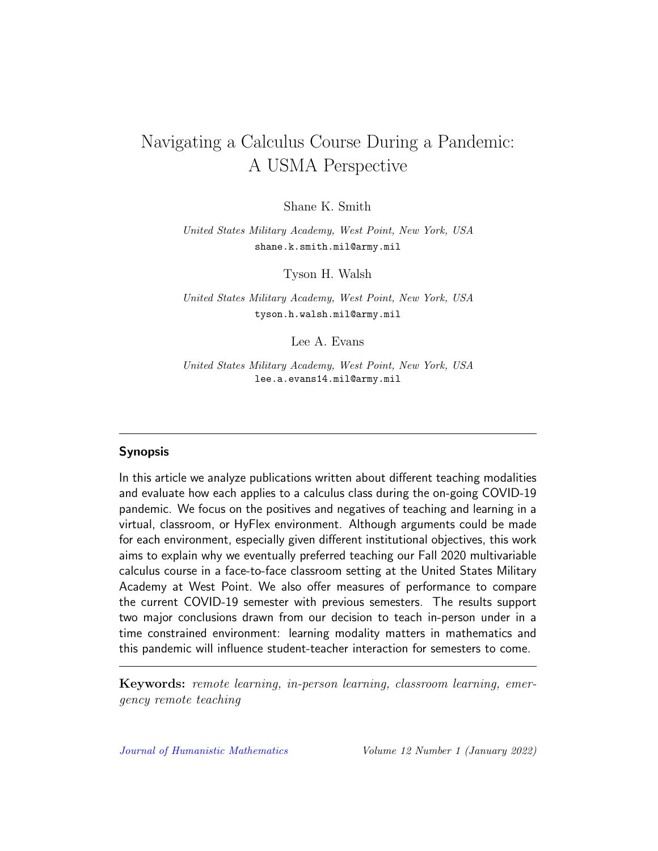## Navigating a Calculus Course During a Pandemic: A USMA Perspective

Shane K. Smith

United States Military Academy, West Point, New York, USA shane.k.smith.mil@army.mil

Tyson H. Walsh

United States Military Academy, West Point, New York, USA tyson.h.walsh.mil@army.mil

Lee A. Evans

United States Military Academy, West Point, New York, USA lee.a.evans14.mil@army.mil

#### Synopsis

In this article we analyze publications written about different teaching modalities and evaluate how each applies to a calculus class during the on-going COVID-19 pandemic. We focus on the positives and negatives of teaching and learning in a virtual, classroom, or HyFlex environment. Although arguments could be made for each environment, especially given different institutional objectives, this work aims to explain why we eventually preferred teaching our Fall 2020 multivariable calculus course in a face-to-face classroom setting at the United States Military Academy at West Point. We also offer measures of performance to compare the current COVID-19 semester with previous semesters. The results support two major conclusions drawn from our decision to teach in-person under in a time constrained environment: learning modality matters in mathematics and this pandemic will influence student-teacher interaction for semesters to come.

Keywords: remote learning, in-person learning, classroom learning, emergency remote teaching

[Journal of Humanistic Mathematics](http://scholarship.claremont.edu/jhm/) Volume 12 Number 1 (January 2022)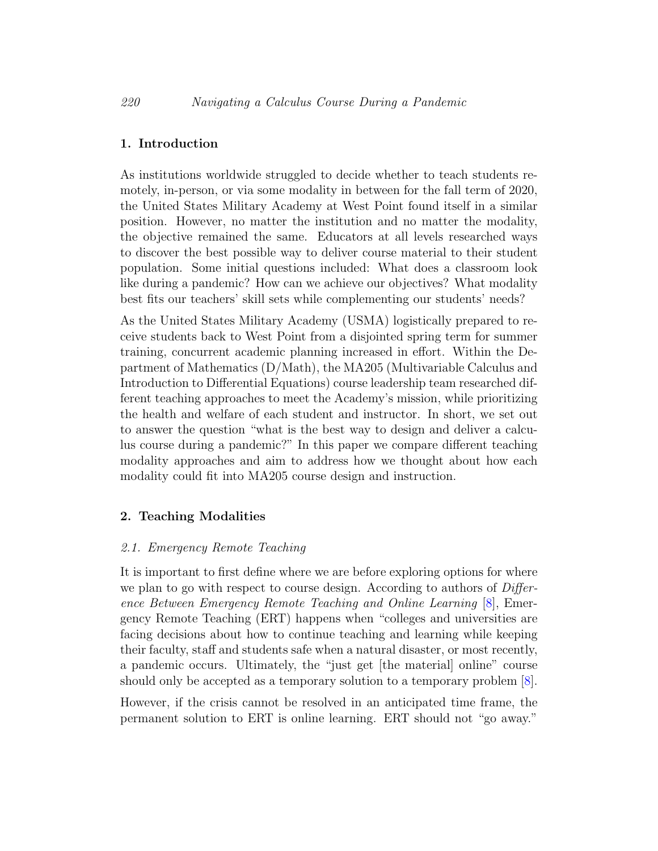## 1. Introduction

As institutions worldwide struggled to decide whether to teach students remotely, in-person, or via some modality in between for the fall term of 2020, the United States Military Academy at West Point found itself in a similar position. However, no matter the institution and no matter the modality, the objective remained the same. Educators at all levels researched ways to discover the best possible way to deliver course material to their student population. Some initial questions included: What does a classroom look like during a pandemic? How can we achieve our objectives? What modality best fits our teachers' skill sets while complementing our students' needs?

As the United States Military Academy (USMA) logistically prepared to receive students back to West Point from a disjointed spring term for summer training, concurrent academic planning increased in effort. Within the Department of Mathematics (D/Math), the MA205 (Multivariable Calculus and Introduction to Differential Equations) course leadership team researched different teaching approaches to meet the Academy's mission, while prioritizing the health and welfare of each student and instructor. In short, we set out to answer the question "what is the best way to design and deliver a calculus course during a pandemic?" In this paper we compare different teaching modality approaches and aim to address how we thought about how each modality could fit into MA205 course design and instruction.

## 2. Teaching Modalities

## 2.1. Emergency Remote Teaching

It is important to first define where we are before exploring options for where we plan to go with respect to course design. According to authors of *Differ*ence Between Emergency Remote Teaching and Online Learning [\[8\]](#page-18-0), Emergency Remote Teaching (ERT) happens when "colleges and universities are facing decisions about how to continue teaching and learning while keeping their faculty, staff and students safe when a natural disaster, or most recently, a pandemic occurs. Ultimately, the "just get [the material] online" course should only be accepted as a temporary solution to a temporary problem [\[8\]](#page-18-0).

However, if the crisis cannot be resolved in an anticipated time frame, the permanent solution to ERT is online learning. ERT should not "go away."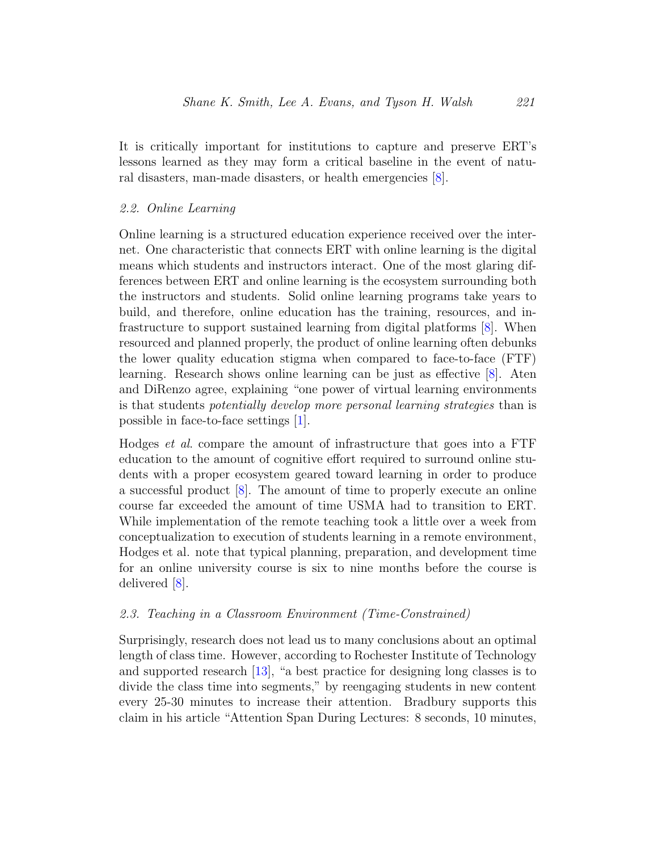It is critically important for institutions to capture and preserve ERT's lessons learned as they may form a critical baseline in the event of natural disasters, man-made disasters, or health emergencies [\[8\]](#page-18-0).

#### 2.2. Online Learning

Online learning is a structured education experience received over the internet. One characteristic that connects ERT with online learning is the digital means which students and instructors interact. One of the most glaring differences between ERT and online learning is the ecosystem surrounding both the instructors and students. Solid online learning programs take years to build, and therefore, online education has the training, resources, and infrastructure to support sustained learning from digital platforms [\[8\]](#page-18-0). When resourced and planned properly, the product of online learning often debunks the lower quality education stigma when compared to face-to-face (FTF) learning. Research shows online learning can be just as effective [\[8\]](#page-18-0). Aten and DiRenzo agree, explaining "one power of virtual learning environments is that students potentially develop more personal learning strategies than is possible in face-to-face settings [\[1\]](#page-17-0).

Hodges et al. compare the amount of infrastructure that goes into a FTF education to the amount of cognitive effort required to surround online students with a proper ecosystem geared toward learning in order to produce a successful product [\[8\]](#page-18-0). The amount of time to properly execute an online course far exceeded the amount of time USMA had to transition to ERT. While implementation of the remote teaching took a little over a week from conceptualization to execution of students learning in a remote environment, Hodges et al. note that typical planning, preparation, and development time for an online university course is six to nine months before the course is delivered [\[8\]](#page-18-0).

#### 2.3. Teaching in a Classroom Environment (Time-Constrained)

Surprisingly, research does not lead us to many conclusions about an optimal length of class time. However, according to Rochester Institute of Technology and supported research [\[13\]](#page-18-1), "a best practice for designing long classes is to divide the class time into segments," by reengaging students in new content every 25-30 minutes to increase their attention. Bradbury supports this claim in his article "Attention Span During Lectures: 8 seconds, 10 minutes,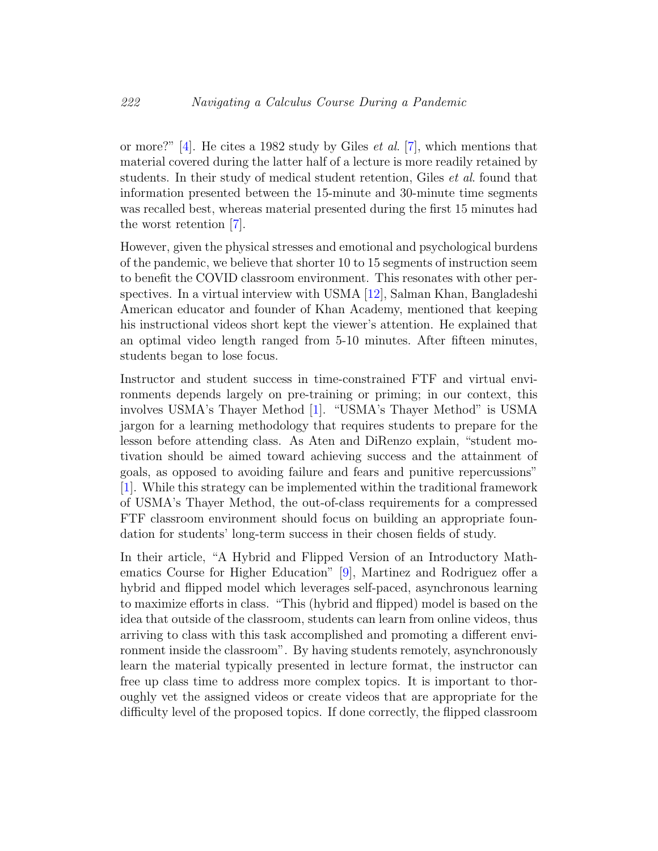or more?" [\[4\]](#page-17-1). He cites a 1982 study by Giles *et al.* [\[7\]](#page-17-2), which mentions that material covered during the latter half of a lecture is more readily retained by students. In their study of medical student retention, Giles *et al.* found that information presented between the 15-minute and 30-minute time segments was recalled best, whereas material presented during the first 15 minutes had the worst retention [\[7\]](#page-17-2).

However, given the physical stresses and emotional and psychological burdens of the pandemic, we believe that shorter 10 to 15 segments of instruction seem to benefit the COVID classroom environment. This resonates with other perspectives. In a virtual interview with USMA [\[12\]](#page-18-2), Salman Khan, Bangladeshi American educator and founder of Khan Academy, mentioned that keeping his instructional videos short kept the viewer's attention. He explained that an optimal video length ranged from 5-10 minutes. After fifteen minutes, students began to lose focus.

Instructor and student success in time-constrained FTF and virtual environments depends largely on pre-training or priming; in our context, this involves USMA's Thayer Method [\[1\]](#page-17-0). "USMA's Thayer Method" is USMA jargon for a learning methodology that requires students to prepare for the lesson before attending class. As Aten and DiRenzo explain, "student motivation should be aimed toward achieving success and the attainment of goals, as opposed to avoiding failure and fears and punitive repercussions"  $[1]$ . While this strategy can be implemented within the traditional framework of USMA's Thayer Method, the out-of-class requirements for a compressed FTF classroom environment should focus on building an appropriate foundation for students' long-term success in their chosen fields of study.

In their article, "A Hybrid and Flipped Version of an Introductory Mathematics Course for Higher Education" [\[9\]](#page-18-3), Martinez and Rodriguez offer a hybrid and flipped model which leverages self-paced, asynchronous learning to maximize efforts in class. "This (hybrid and flipped) model is based on the idea that outside of the classroom, students can learn from online videos, thus arriving to class with this task accomplished and promoting a different environment inside the classroom". By having students remotely, asynchronously learn the material typically presented in lecture format, the instructor can free up class time to address more complex topics. It is important to thoroughly vet the assigned videos or create videos that are appropriate for the difficulty level of the proposed topics. If done correctly, the flipped classroom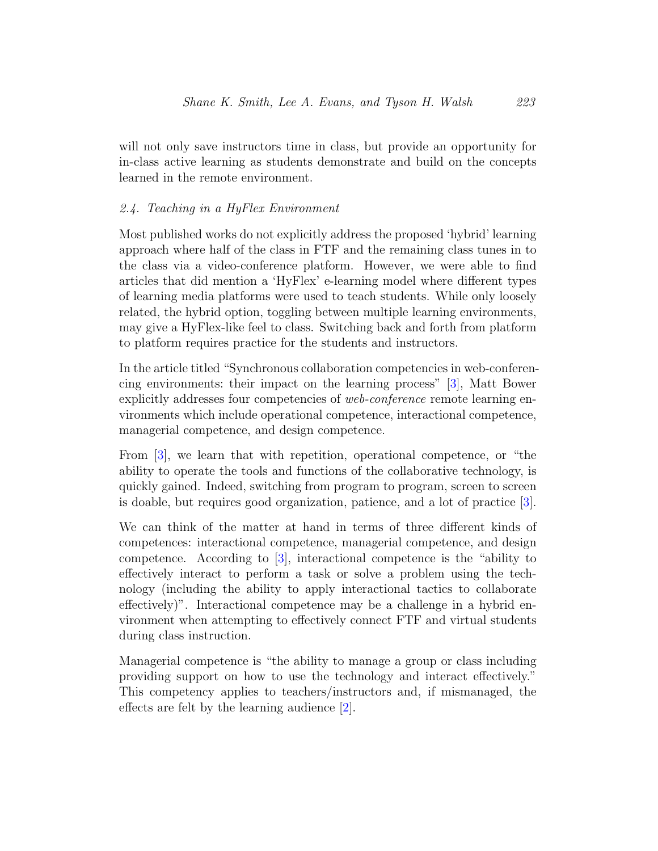will not only save instructors time in class, but provide an opportunity for in-class active learning as students demonstrate and build on the concepts learned in the remote environment.

## 2.4. Teaching in a HyFlex Environment

Most published works do not explicitly address the proposed 'hybrid' learning approach where half of the class in FTF and the remaining class tunes in to the class via a video-conference platform. However, we were able to find articles that did mention a 'HyFlex' e-learning model where different types of learning media platforms were used to teach students. While only loosely related, the hybrid option, toggling between multiple learning environments, may give a HyFlex-like feel to class. Switching back and forth from platform to platform requires practice for the students and instructors.

In the article titled "Synchronous collaboration competencies in web-conferencing environments: their impact on the learning process" [\[3\]](#page-17-3), Matt Bower explicitly addresses four competencies of web-conference remote learning environments which include operational competence, interactional competence, managerial competence, and design competence.

From [\[3\]](#page-17-3), we learn that with repetition, operational competence, or "the ability to operate the tools and functions of the collaborative technology, is quickly gained. Indeed, switching from program to program, screen to screen is doable, but requires good organization, patience, and a lot of practice [\[3\]](#page-17-3).

We can think of the matter at hand in terms of three different kinds of competences: interactional competence, managerial competence, and design competence. According to [\[3\]](#page-17-3), interactional competence is the "ability to effectively interact to perform a task or solve a problem using the technology (including the ability to apply interactional tactics to collaborate effectively)". Interactional competence may be a challenge in a hybrid environment when attempting to effectively connect FTF and virtual students during class instruction.

Managerial competence is "the ability to manage a group or class including providing support on how to use the technology and interact effectively." This competency applies to teachers/instructors and, if mismanaged, the effects are felt by the learning audience [\[2\]](#page-17-4).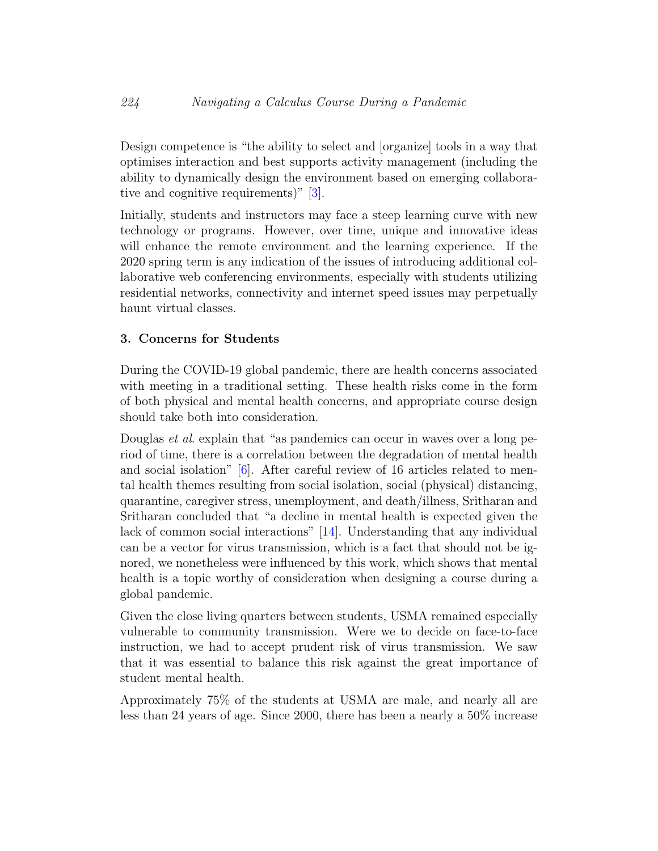Design competence is "the ability to select and [organize] tools in a way that optimises interaction and best supports activity management (including the ability to dynamically design the environment based on emerging collaborative and cognitive requirements)" [\[3\]](#page-17-3).

Initially, students and instructors may face a steep learning curve with new technology or programs. However, over time, unique and innovative ideas will enhance the remote environment and the learning experience. If the 2020 spring term is any indication of the issues of introducing additional collaborative web conferencing environments, especially with students utilizing residential networks, connectivity and internet speed issues may perpetually haunt virtual classes.

## 3. Concerns for Students

During the COVID-19 global pandemic, there are health concerns associated with meeting in a traditional setting. These health risks come in the form of both physical and mental health concerns, and appropriate course design should take both into consideration.

Douglas *et al.* explain that "as pandemics can occur in waves over a long period of time, there is a correlation between the degradation of mental health and social isolation" [\[6\]](#page-17-5). After careful review of 16 articles related to mental health themes resulting from social isolation, social (physical) distancing, quarantine, caregiver stress, unemployment, and death/illness, Sritharan and Sritharan concluded that "a decline in mental health is expected given the lack of common social interactions" [\[14\]](#page-18-4). Understanding that any individual can be a vector for virus transmission, which is a fact that should not be ignored, we nonetheless were influenced by this work, which shows that mental health is a topic worthy of consideration when designing a course during a global pandemic.

Given the close living quarters between students, USMA remained especially vulnerable to community transmission. Were we to decide on face-to-face instruction, we had to accept prudent risk of virus transmission. We saw that it was essential to balance this risk against the great importance of student mental health.

Approximately 75% of the students at USMA are male, and nearly all are less than 24 years of age. Since 2000, there has been a nearly a 50% increase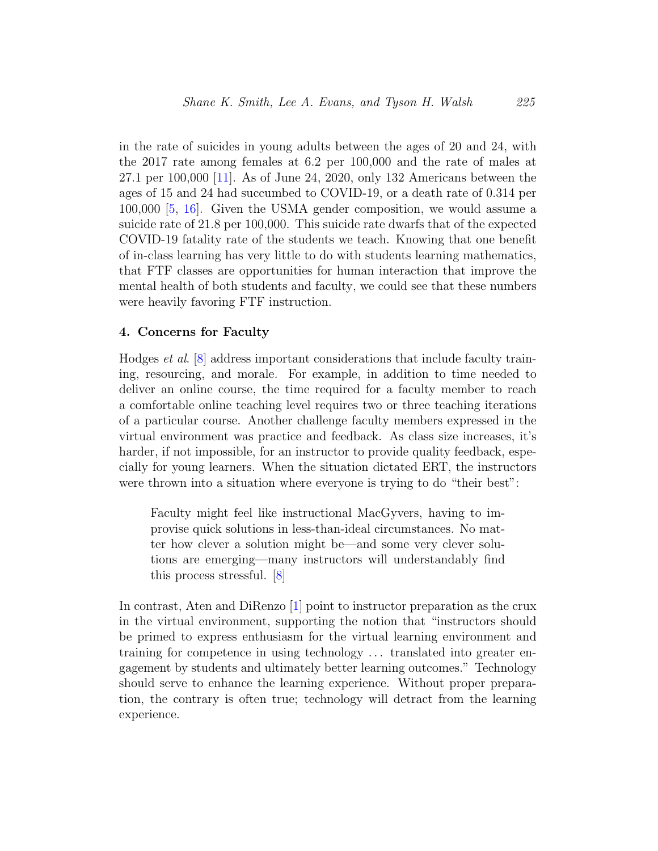in the rate of suicides in young adults between the ages of 20 and 24, with the 2017 rate among females at 6.2 per 100,000 and the rate of males at 27.1 per 100,000 [\[11\]](#page-18-5). As of June 24, 2020, only 132 Americans between the ages of 15 and 24 had succumbed to COVID-19, or a death rate of 0.314 per 100,000 [\[5,](#page-17-6) [16\]](#page-18-6). Given the USMA gender composition, we would assume a suicide rate of 21.8 per 100,000. This suicide rate dwarfs that of the expected COVID-19 fatality rate of the students we teach. Knowing that one benefit of in-class learning has very little to do with students learning mathematics, that FTF classes are opportunities for human interaction that improve the mental health of both students and faculty, we could see that these numbers were heavily favoring FTF instruction.

#### 4. Concerns for Faculty

Hodges et al. [\[8\]](#page-18-0) address important considerations that include faculty training, resourcing, and morale. For example, in addition to time needed to deliver an online course, the time required for a faculty member to reach a comfortable online teaching level requires two or three teaching iterations of a particular course. Another challenge faculty members expressed in the virtual environment was practice and feedback. As class size increases, it's harder, if not impossible, for an instructor to provide quality feedback, especially for young learners. When the situation dictated ERT, the instructors were thrown into a situation where everyone is trying to do "their best":

Faculty might feel like instructional MacGyvers, having to improvise quick solutions in less-than-ideal circumstances. No matter how clever a solution might be—and some very clever solutions are emerging—many instructors will understandably find this process stressful. [\[8\]](#page-18-0)

In contrast, Aten and DiRenzo [\[1\]](#page-17-0) point to instructor preparation as the crux in the virtual environment, supporting the notion that "instructors should be primed to express enthusiasm for the virtual learning environment and training for competence in using technology . . . translated into greater engagement by students and ultimately better learning outcomes." Technology should serve to enhance the learning experience. Without proper preparation, the contrary is often true; technology will detract from the learning experience.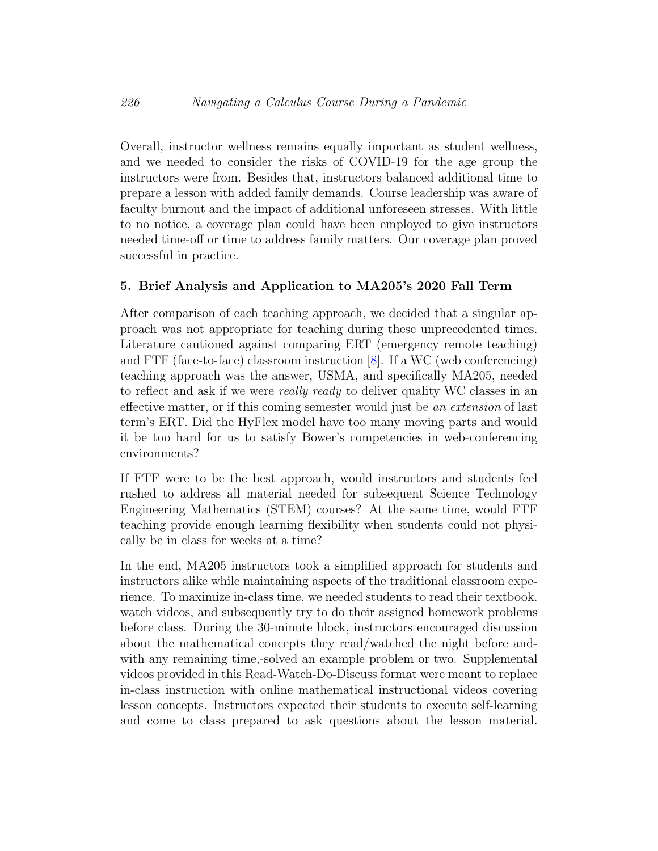Overall, instructor wellness remains equally important as student wellness, and we needed to consider the risks of COVID-19 for the age group the instructors were from. Besides that, instructors balanced additional time to prepare a lesson with added family demands. Course leadership was aware of faculty burnout and the impact of additional unforeseen stresses. With little to no notice, a coverage plan could have been employed to give instructors needed time-off or time to address family matters. Our coverage plan proved successful in practice.

## 5. Brief Analysis and Application to MA205's 2020 Fall Term

After comparison of each teaching approach, we decided that a singular approach was not appropriate for teaching during these unprecedented times. Literature cautioned against comparing ERT (emergency remote teaching) and FTF (face-to-face) classroom instruction [\[8\]](#page-18-0). If a WC (web conferencing) teaching approach was the answer, USMA, and specifically MA205, needed to reflect and ask if we were *really ready* to deliver quality WC classes in an effective matter, or if this coming semester would just be an extension of last term's ERT. Did the HyFlex model have too many moving parts and would it be too hard for us to satisfy Bower's competencies in web-conferencing environments?

If FTF were to be the best approach, would instructors and students feel rushed to address all material needed for subsequent Science Technology Engineering Mathematics (STEM) courses? At the same time, would FTF teaching provide enough learning flexibility when students could not physically be in class for weeks at a time?

In the end, MA205 instructors took a simplified approach for students and instructors alike while maintaining aspects of the traditional classroom experience. To maximize in-class time, we needed students to read their textbook. watch videos, and subsequently try to do their assigned homework problems before class. During the 30-minute block, instructors encouraged discussion about the mathematical concepts they read/watched the night before andwith any remaining time,-solved an example problem or two. Supplemental videos provided in this Read-Watch-Do-Discuss format were meant to replace in-class instruction with online mathematical instructional videos covering lesson concepts. Instructors expected their students to execute self-learning and come to class prepared to ask questions about the lesson material.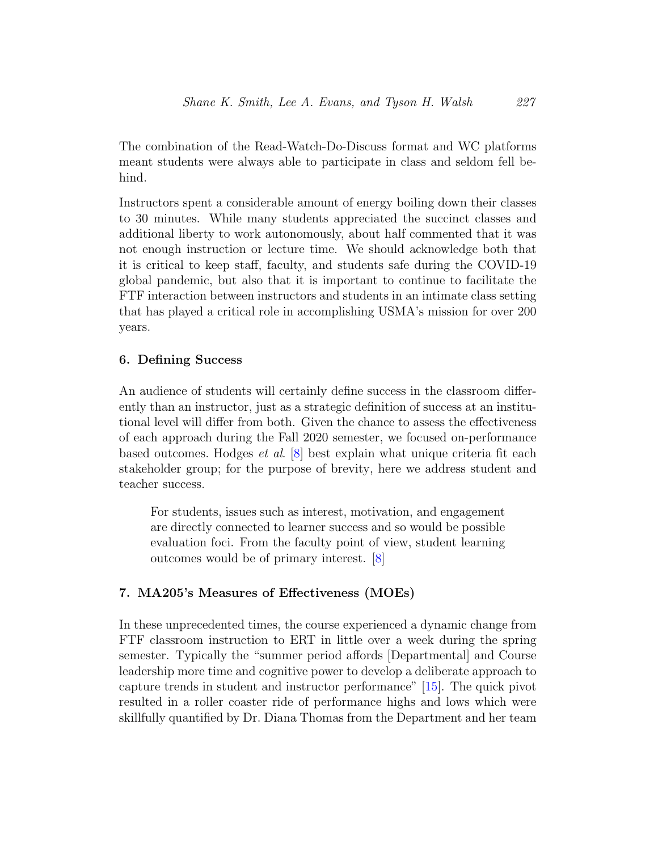The combination of the Read-Watch-Do-Discuss format and WC platforms meant students were always able to participate in class and seldom fell behind.

Instructors spent a considerable amount of energy boiling down their classes to 30 minutes. While many students appreciated the succinct classes and additional liberty to work autonomously, about half commented that it was not enough instruction or lecture time. We should acknowledge both that it is critical to keep staff, faculty, and students safe during the COVID-19 global pandemic, but also that it is important to continue to facilitate the FTF interaction between instructors and students in an intimate class setting that has played a critical role in accomplishing USMA's mission for over 200 years.

### 6. Defining Success

An audience of students will certainly define success in the classroom differently than an instructor, just as a strategic definition of success at an institutional level will differ from both. Given the chance to assess the effectiveness of each approach during the Fall 2020 semester, we focused on-performance based outcomes. Hodges et al. [\[8\]](#page-18-0) best explain what unique criteria fit each stakeholder group; for the purpose of brevity, here we address student and teacher success.

For students, issues such as interest, motivation, and engagement are directly connected to learner success and so would be possible evaluation foci. From the faculty point of view, student learning outcomes would be of primary interest. [\[8\]](#page-18-0)

## 7. MA205's Measures of Effectiveness (MOEs)

In these unprecedented times, the course experienced a dynamic change from FTF classroom instruction to ERT in little over a week during the spring semester. Typically the "summer period affords [Departmental] and Course leadership more time and cognitive power to develop a deliberate approach to capture trends in student and instructor performance" [\[15\]](#page-18-7). The quick pivot resulted in a roller coaster ride of performance highs and lows which were skillfully quantified by Dr. Diana Thomas from the Department and her team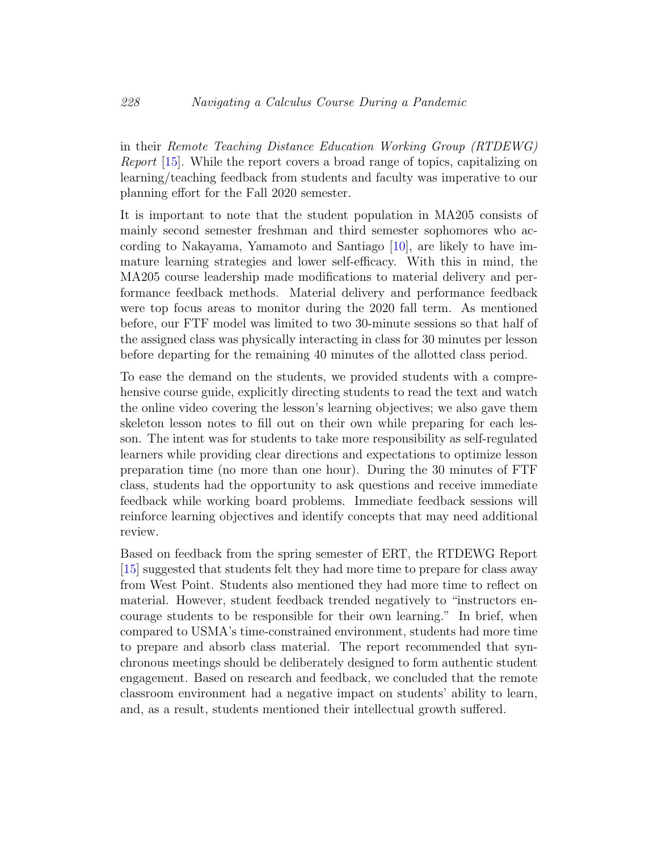in their Remote Teaching Distance Education Working Group (RTDEWG) Report [\[15\]](#page-18-7). While the report covers a broad range of topics, capitalizing on learning/teaching feedback from students and faculty was imperative to our planning effort for the Fall 2020 semester.

It is important to note that the student population in MA205 consists of mainly second semester freshman and third semester sophomores who according to Nakayama, Yamamoto and Santiago [\[10\]](#page-18-8), are likely to have immature learning strategies and lower self-efficacy. With this in mind, the MA205 course leadership made modifications to material delivery and performance feedback methods. Material delivery and performance feedback were top focus areas to monitor during the 2020 fall term. As mentioned before, our FTF model was limited to two 30-minute sessions so that half of the assigned class was physically interacting in class for 30 minutes per lesson before departing for the remaining 40 minutes of the allotted class period.

To ease the demand on the students, we provided students with a comprehensive course guide, explicitly directing students to read the text and watch the online video covering the lesson's learning objectives; we also gave them skeleton lesson notes to fill out on their own while preparing for each lesson. The intent was for students to take more responsibility as self-regulated learners while providing clear directions and expectations to optimize lesson preparation time (no more than one hour). During the 30 minutes of FTF class, students had the opportunity to ask questions and receive immediate feedback while working board problems. Immediate feedback sessions will reinforce learning objectives and identify concepts that may need additional review.

Based on feedback from the spring semester of ERT, the RTDEWG Report [\[15\]](#page-18-7) suggested that students felt they had more time to prepare for class away from West Point. Students also mentioned they had more time to reflect on material. However, student feedback trended negatively to "instructors encourage students to be responsible for their own learning." In brief, when compared to USMA's time-constrained environment, students had more time to prepare and absorb class material. The report recommended that synchronous meetings should be deliberately designed to form authentic student engagement. Based on research and feedback, we concluded that the remote classroom environment had a negative impact on students' ability to learn, and, as a result, students mentioned their intellectual growth suffered.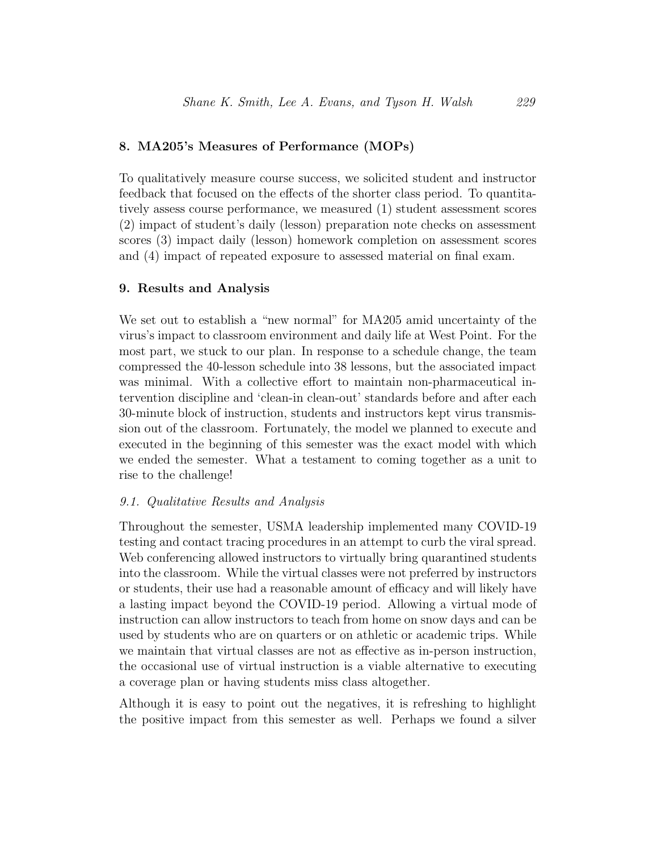## 8. MA205's Measures of Performance (MOPs)

To qualitatively measure course success, we solicited student and instructor feedback that focused on the effects of the shorter class period. To quantitatively assess course performance, we measured (1) student assessment scores (2) impact of student's daily (lesson) preparation note checks on assessment scores (3) impact daily (lesson) homework completion on assessment scores and (4) impact of repeated exposure to assessed material on final exam.

#### 9. Results and Analysis

We set out to establish a "new normal" for MA205 amid uncertainty of the virus's impact to classroom environment and daily life at West Point. For the most part, we stuck to our plan. In response to a schedule change, the team compressed the 40-lesson schedule into 38 lessons, but the associated impact was minimal. With a collective effort to maintain non-pharmaceutical intervention discipline and 'clean-in clean-out' standards before and after each 30-minute block of instruction, students and instructors kept virus transmission out of the classroom. Fortunately, the model we planned to execute and executed in the beginning of this semester was the exact model with which we ended the semester. What a testament to coming together as a unit to rise to the challenge!

#### 9.1. Qualitative Results and Analysis

Throughout the semester, USMA leadership implemented many COVID-19 testing and contact tracing procedures in an attempt to curb the viral spread. Web conferencing allowed instructors to virtually bring quarantined students into the classroom. While the virtual classes were not preferred by instructors or students, their use had a reasonable amount of efficacy and will likely have a lasting impact beyond the COVID-19 period. Allowing a virtual mode of instruction can allow instructors to teach from home on snow days and can be used by students who are on quarters or on athletic or academic trips. While we maintain that virtual classes are not as effective as in-person instruction, the occasional use of virtual instruction is a viable alternative to executing a coverage plan or having students miss class altogether.

Although it is easy to point out the negatives, it is refreshing to highlight the positive impact from this semester as well. Perhaps we found a silver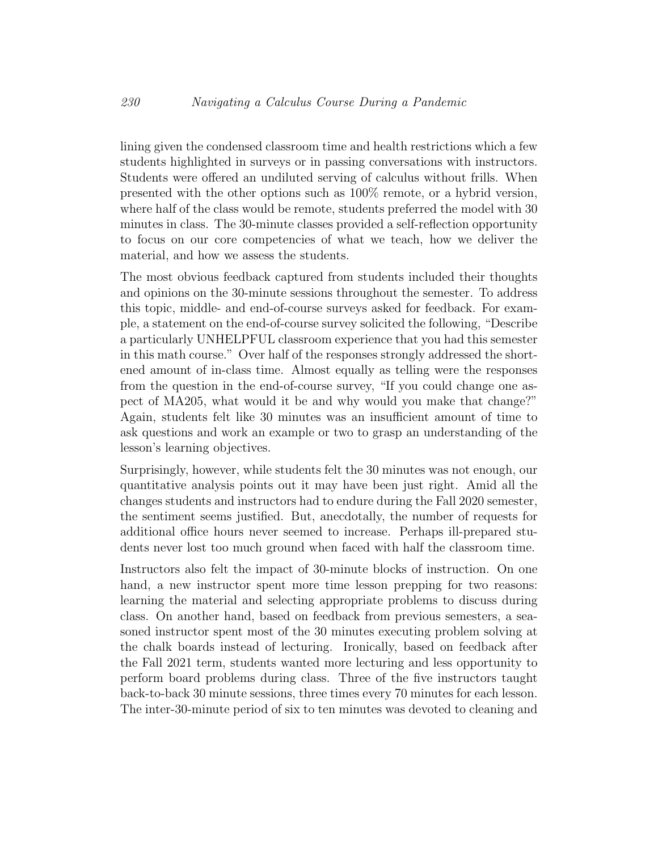lining given the condensed classroom time and health restrictions which a few students highlighted in surveys or in passing conversations with instructors. Students were offered an undiluted serving of calculus without frills. When presented with the other options such as 100% remote, or a hybrid version, where half of the class would be remote, students preferred the model with 30 minutes in class. The 30-minute classes provided a self-reflection opportunity to focus on our core competencies of what we teach, how we deliver the material, and how we assess the students.

The most obvious feedback captured from students included their thoughts and opinions on the 30-minute sessions throughout the semester. To address this topic, middle- and end-of-course surveys asked for feedback. For example, a statement on the end-of-course survey solicited the following, "Describe a particularly UNHELPFUL classroom experience that you had this semester in this math course." Over half of the responses strongly addressed the shortened amount of in-class time. Almost equally as telling were the responses from the question in the end-of-course survey, "If you could change one aspect of MA205, what would it be and why would you make that change?" Again, students felt like 30 minutes was an insufficient amount of time to ask questions and work an example or two to grasp an understanding of the lesson's learning objectives.

Surprisingly, however, while students felt the 30 minutes was not enough, our quantitative analysis points out it may have been just right. Amid all the changes students and instructors had to endure during the Fall 2020 semester, the sentiment seems justified. But, anecdotally, the number of requests for additional office hours never seemed to increase. Perhaps ill-prepared students never lost too much ground when faced with half the classroom time.

Instructors also felt the impact of 30-minute blocks of instruction. On one hand, a new instructor spent more time lesson prepping for two reasons: learning the material and selecting appropriate problems to discuss during class. On another hand, based on feedback from previous semesters, a seasoned instructor spent most of the 30 minutes executing problem solving at the chalk boards instead of lecturing. Ironically, based on feedback after the Fall 2021 term, students wanted more lecturing and less opportunity to perform board problems during class. Three of the five instructors taught back-to-back 30 minute sessions, three times every 70 minutes for each lesson. The inter-30-minute period of six to ten minutes was devoted to cleaning and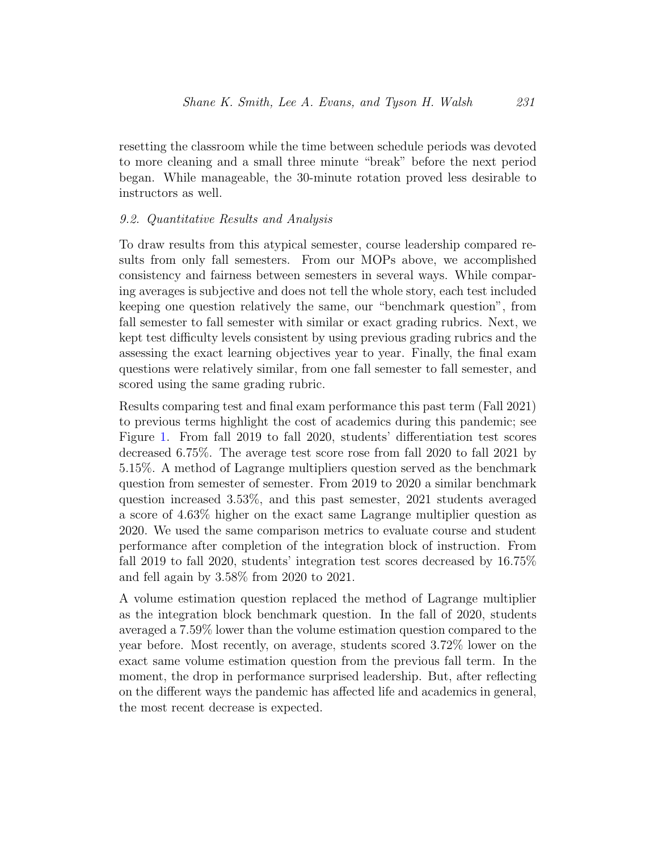resetting the classroom while the time between schedule periods was devoted to more cleaning and a small three minute "break" before the next period began. While manageable, the 30-minute rotation proved less desirable to instructors as well.

## 9.2. Quantitative Results and Analysis

To draw results from this atypical semester, course leadership compared results from only fall semesters. From our MOPs above, we accomplished consistency and fairness between semesters in several ways. While comparing averages is subjective and does not tell the whole story, each test included keeping one question relatively the same, our "benchmark question", from fall semester to fall semester with similar or exact grading rubrics. Next, we kept test difficulty levels consistent by using previous grading rubrics and the assessing the exact learning objectives year to year. Finally, the final exam questions were relatively similar, from one fall semester to fall semester, and scored using the same grading rubric.

Results comparing test and final exam performance this past term (Fall 2021) to previous terms highlight the cost of academics during this pandemic; see Figure [1.](#page-14-0) From fall 2019 to fall 2020, students' differentiation test scores decreased 6.75%. The average test score rose from fall 2020 to fall 2021 by 5.15%. A method of Lagrange multipliers question served as the benchmark question from semester of semester. From 2019 to 2020 a similar benchmark question increased 3.53%, and this past semester, 2021 students averaged a score of 4.63% higher on the exact same Lagrange multiplier question as 2020. We used the same comparison metrics to evaluate course and student performance after completion of the integration block of instruction. From fall 2019 to fall 2020, students' integration test scores decreased by 16.75% and fell again by 3.58% from 2020 to 2021.

A volume estimation question replaced the method of Lagrange multiplier as the integration block benchmark question. In the fall of 2020, students averaged a 7.59% lower than the volume estimation question compared to the year before. Most recently, on average, students scored 3.72% lower on the exact same volume estimation question from the previous fall term. In the moment, the drop in performance surprised leadership. But, after reflecting on the different ways the pandemic has affected life and academics in general, the most recent decrease is expected.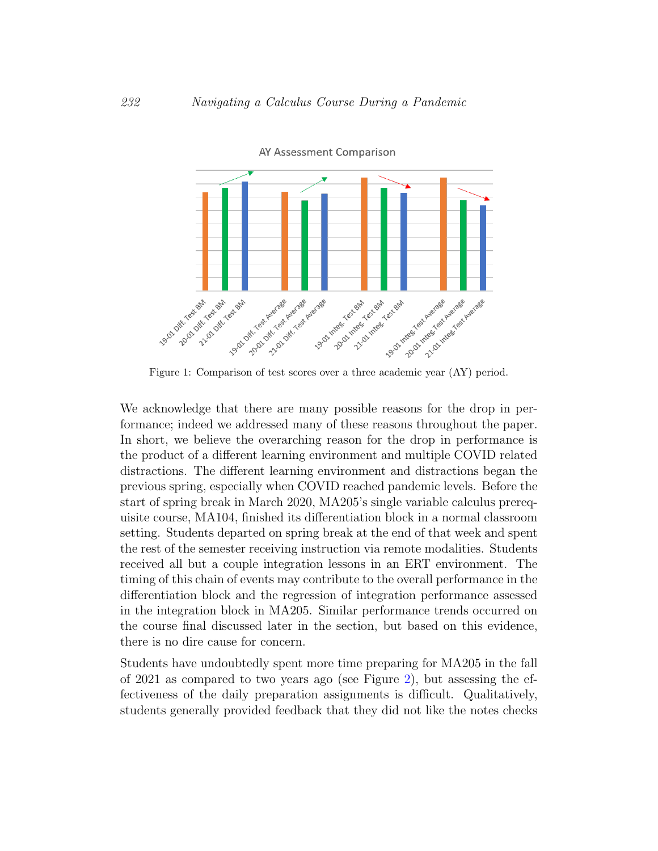

<span id="page-14-0"></span>AY Assessment Comparison

Figure 1: Comparison of test scores over a three academic year (AY) period.

We acknowledge that there are many possible reasons for the drop in performance; indeed we addressed many of these reasons throughout the paper. In short, we believe the overarching reason for the drop in performance is the product of a different learning environment and multiple COVID related distractions. The different learning environment and distractions began the previous spring, especially when COVID reached pandemic levels. Before the start of spring break in March 2020, MA205's single variable calculus prerequisite course, MA104, finished its differentiation block in a normal classroom setting. Students departed on spring break at the end of that week and spent the rest of the semester receiving instruction via remote modalities. Students received all but a couple integration lessons in an ERT environment. The timing of this chain of events may contribute to the overall performance in the differentiation block and the regression of integration performance assessed in the integration block in MA205. Similar performance trends occurred on the course final discussed later in the section, but based on this evidence, there is no dire cause for concern.

Students have undoubtedly spent more time preparing for MA205 in the fall of 2021 as compared to two years ago (see Figure [2\)](#page-15-0), but assessing the effectiveness of the daily preparation assignments is difficult. Qualitatively, students generally provided feedback that they did not like the notes checks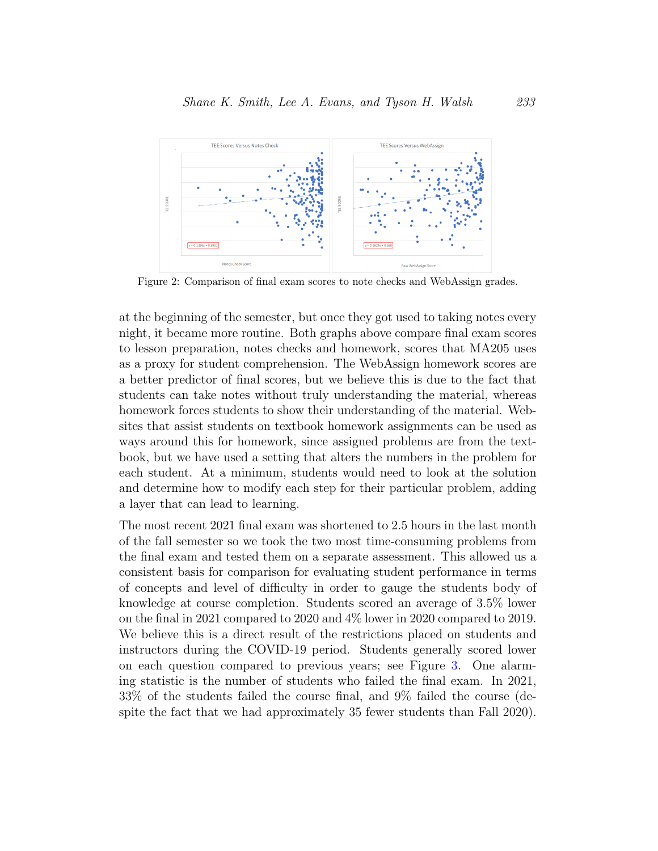

<span id="page-15-0"></span>Figure 2: Comparison of final exam scores to note checks and WebAssign grades.

at the beginning of the semester, but once they got used to taking notes every night, it became more routine. Both graphs above compare final exam scores to lesson preparation, notes checks and homework, scores that MA205 uses as a proxy for student comprehension. The WebAssign homework scores are a better predictor of final scores, but we believe this is due to the fact that students can take notes without truly understanding the material, whereas homework forces students to show their understanding of the material. Websites that assist students on textbook homework assignments can be used as ways around this for homework, since assigned problems are from the textbook, but we have used a setting that alters the numbers in the problem for each student. At a minimum, students would need to look at the solution and determine how to modify each step for their particular problem, adding a layer that can lead to learning.

The most recent 2021 final exam was shortened to 2.5 hours in the last month of the fall semester so we took the two most time-consuming problems from the final exam and tested them on a separate assessment. This allowed us a consistent basis for comparison for evaluating student performance in terms of concepts and level of difficulty in order to gauge the students body of knowledge at course completion. Students scored an average of 3.5% lower on the final in 2021 compared to 2020 and 4% lower in 2020 compared to 2019. We believe this is a direct result of the restrictions placed on students and instructors during the COVID-19 period. Students generally scored lower on each question compared to previous years; see Figure [3.](#page-16-0) One alarming statistic is the number of students who failed the final exam. In 2021, 33% of the students failed the course final, and 9% failed the course (despite the fact that we had approximately 35 fewer students than Fall 2020).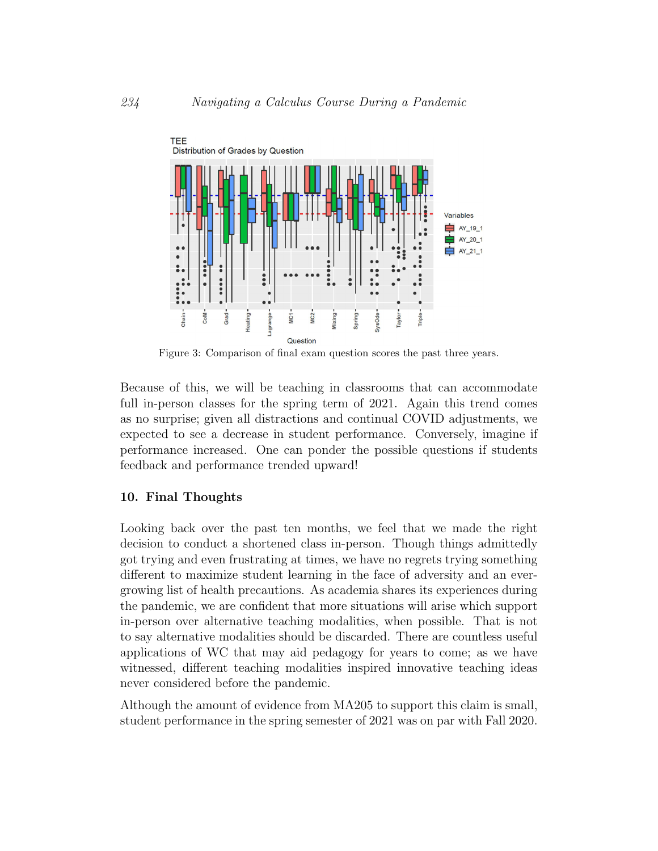

<span id="page-16-0"></span>Figure 3: Comparison of final exam question scores the past three years.

Because of this, we will be teaching in classrooms that can accommodate full in-person classes for the spring term of 2021. Again this trend comes as no surprise; given all distractions and continual COVID adjustments, we expected to see a decrease in student performance. Conversely, imagine if performance increased. One can ponder the possible questions if students feedback and performance trended upward!

#### 10. Final Thoughts

Looking back over the past ten months, we feel that we made the right decision to conduct a shortened class in-person. Though things admittedly got trying and even frustrating at times, we have no regrets trying something different to maximize student learning in the face of adversity and an evergrowing list of health precautions. As academia shares its experiences during the pandemic, we are confident that more situations will arise which support in-person over alternative teaching modalities, when possible. That is not to say alternative modalities should be discarded. There are countless useful applications of WC that may aid pedagogy for years to come; as we have witnessed, different teaching modalities inspired innovative teaching ideas never considered before the pandemic.

Although the amount of evidence from MA205 to support this claim is small, student performance in the spring semester of 2021 was on par with Fall 2020.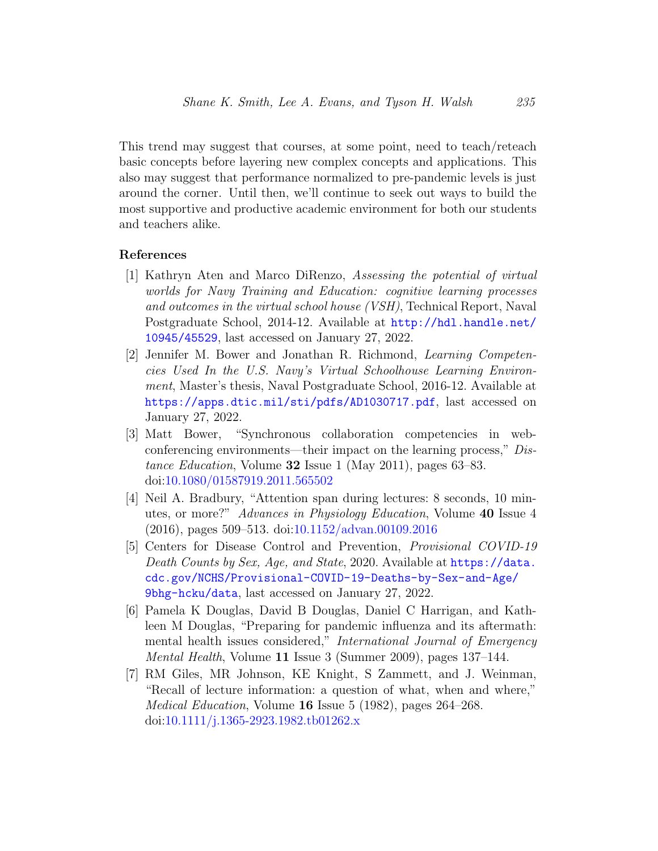This trend may suggest that courses, at some point, need to teach/reteach basic concepts before layering new complex concepts and applications. This also may suggest that performance normalized to pre-pandemic levels is just around the corner. Until then, we'll continue to seek out ways to build the most supportive and productive academic environment for both our students and teachers alike.

#### References

- <span id="page-17-0"></span>[1] Kathryn Aten and Marco DiRenzo, Assessing the potential of virtual worlds for Navy Training and Education: cognitive learning processes and outcomes in the virtual school house (VSH), Technical Report, Naval Postgraduate School, 2014-12. Available at [http://hdl.handle.net/](http://hdl.handle.net/10945/45529) [10945/45529](http://hdl.handle.net/10945/45529), last accessed on January 27, 2022.
- <span id="page-17-4"></span>[2] Jennifer M. Bower and Jonathan R. Richmond, Learning Competencies Used In the U.S. Navy's Virtual Schoolhouse Learning Environment, Master's thesis, Naval Postgraduate School, 2016-12. Available at <https://apps.dtic.mil/sti/pdfs/AD1030717.pdf>, last accessed on January 27, 2022.
- <span id="page-17-3"></span>[3] Matt Bower, "Synchronous collaboration competencies in webconferencing environments—their impact on the learning process," Distance Education, Volume 32 Issue 1 (May 2011), pages 63–83. doi[:10.1080/01587919.2011.565502](http://dx.doi.org/10.1080/01587919.2011.565502)
- <span id="page-17-1"></span>[4] Neil A. Bradbury, "Attention span during lectures: 8 seconds, 10 minutes, or more?" Advances in Physiology Education, Volume 40 Issue 4 (2016), pages 509–513. doi[:10.1152/advan.00109.2016](http://dx.doi.org/10.1152/advan.00109.2016)
- <span id="page-17-6"></span>[5] Centers for Disease Control and Prevention, Provisional COVID-19 Death Counts by Sex, Age, and State, 2020. Available at [https://data.](https://data.cdc.gov/NCHS/Provisional-COVID-19-Deaths-by-Sex-and-Age/9bhg-hcku/data) [cdc.gov/NCHS/Provisional-COVID-19-Deaths-by-Sex-and-Age/](https://data.cdc.gov/NCHS/Provisional-COVID-19-Deaths-by-Sex-and-Age/9bhg-hcku/data) [9bhg-hcku/data](https://data.cdc.gov/NCHS/Provisional-COVID-19-Deaths-by-Sex-and-Age/9bhg-hcku/data), last accessed on January 27, 2022.
- <span id="page-17-5"></span>[6] Pamela K Douglas, David B Douglas, Daniel C Harrigan, and Kathleen M Douglas, "Preparing for pandemic influenza and its aftermath: mental health issues considered," International Journal of Emergency Mental Health, Volume 11 Issue 3 (Summer 2009), pages 137–144.
- <span id="page-17-2"></span>[7] RM Giles, MR Johnson, KE Knight, S Zammett, and J. Weinman, "Recall of lecture information: a question of what, when and where," Medical Education, Volume 16 Issue 5 (1982), pages 264–268. doi[:10.1111/j.1365-2923.1982.tb01262.x](http://dx.doi.org/10.1111/j.1365-2923.1982.tb01262.x)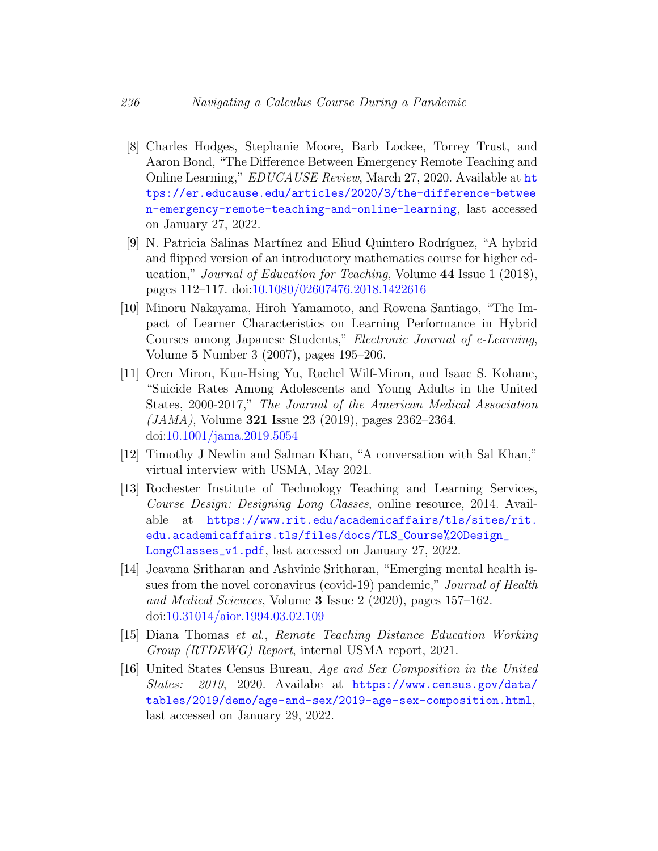- <span id="page-18-0"></span>[8] Charles Hodges, Stephanie Moore, Barb Lockee, Torrey Trust, and Aaron Bond, "The Difference Between Emergency Remote Teaching and Online Learning," EDUCAUSE Review, March 27, 2020. Available at [ht](https://er.educause.edu/articles/2020/3/the-difference-between-emergency-remote-teaching-and-online-learning) [tps://er.educause.edu/articles/2020/3/the-difference-betwee](https://er.educause.edu/articles/2020/3/the-difference-between-emergency-remote-teaching-and-online-learning) [n-emergency-remote-teaching-and-online-learning](https://er.educause.edu/articles/2020/3/the-difference-between-emergency-remote-teaching-and-online-learning), last accessed on January 27, 2022.
- <span id="page-18-3"></span>[9] N. Patricia Salinas Mart´ınez and Eliud Quintero Rodr´ıguez, "A hybrid and flipped version of an introductory mathematics course for higher education," Journal of Education for Teaching, Volume 44 Issue 1 (2018), pages 112–117. doi[:10.1080/02607476.2018.1422616](http://dx.doi.org/10.1080/02607476.2018.1422616)
- <span id="page-18-8"></span>[10] Minoru Nakayama, Hiroh Yamamoto, and Rowena Santiago, "The Impact of Learner Characteristics on Learning Performance in Hybrid Courses among Japanese Students," Electronic Journal of e-Learning, Volume 5 Number 3 (2007), pages 195–206.
- <span id="page-18-5"></span>[11] Oren Miron, Kun-Hsing Yu, Rachel Wilf-Miron, and Isaac S. Kohane, "Suicide Rates Among Adolescents and Young Adults in the United States, 2000-2017," The Journal of the American Medical Association  $(JAMA)$ , Volume 321 Issue 23 (2019), pages 2362–2364. doi[:10.1001/jama.2019.5054](http://dx.doi.org/10.1001/jama.2019.5054)
- <span id="page-18-2"></span>[12] Timothy J Newlin and Salman Khan, "A conversation with Sal Khan," virtual interview with USMA, May 2021.
- <span id="page-18-1"></span>[13] Rochester Institute of Technology Teaching and Learning Services, Course Design: Designing Long Classes, online resource, 2014. Available at [https://www.rit.edu/academicaffairs/tls/sites/rit.](https://www.rit.edu/academicaffairs/tls/sites/rit.edu.academicaffairs.tls/files/docs/TLS_Course%20Design_LongClasses_v1.pdf) [edu.academicaffairs.tls/files/docs/TLS\\_Course%20Design\\_](https://www.rit.edu/academicaffairs/tls/sites/rit.edu.academicaffairs.tls/files/docs/TLS_Course%20Design_LongClasses_v1.pdf) [LongClasses\\_v1.pdf](https://www.rit.edu/academicaffairs/tls/sites/rit.edu.academicaffairs.tls/files/docs/TLS_Course%20Design_LongClasses_v1.pdf), last accessed on January 27, 2022.
- <span id="page-18-4"></span>[14] Jeavana Sritharan and Ashvinie Sritharan, "Emerging mental health issues from the novel coronavirus (covid-19) pandemic," Journal of Health and Medical Sciences, Volume 3 Issue 2 (2020), pages 157–162. doi[:10.31014/aior.1994.03.02.109](http://dx.doi.org/10.31014/aior.1994.03.02.109)
- <span id="page-18-7"></span>[15] Diana Thomas et al., Remote Teaching Distance Education Working Group (RTDEWG) Report, internal USMA report, 2021.
- <span id="page-18-6"></span>[16] United States Census Bureau, Age and Sex Composition in the United States: 2019, 2020. Availabe at [https://www.census.gov/data/]( https://www.census.gov/data/tables/2019/demo/age-and-sex/2019-age-sex-composition.html) [tables/2019/demo/age-and-sex/2019-age-sex-composition.html]( https://www.census.gov/data/tables/2019/demo/age-and-sex/2019-age-sex-composition.html), last accessed on January 29, 2022.